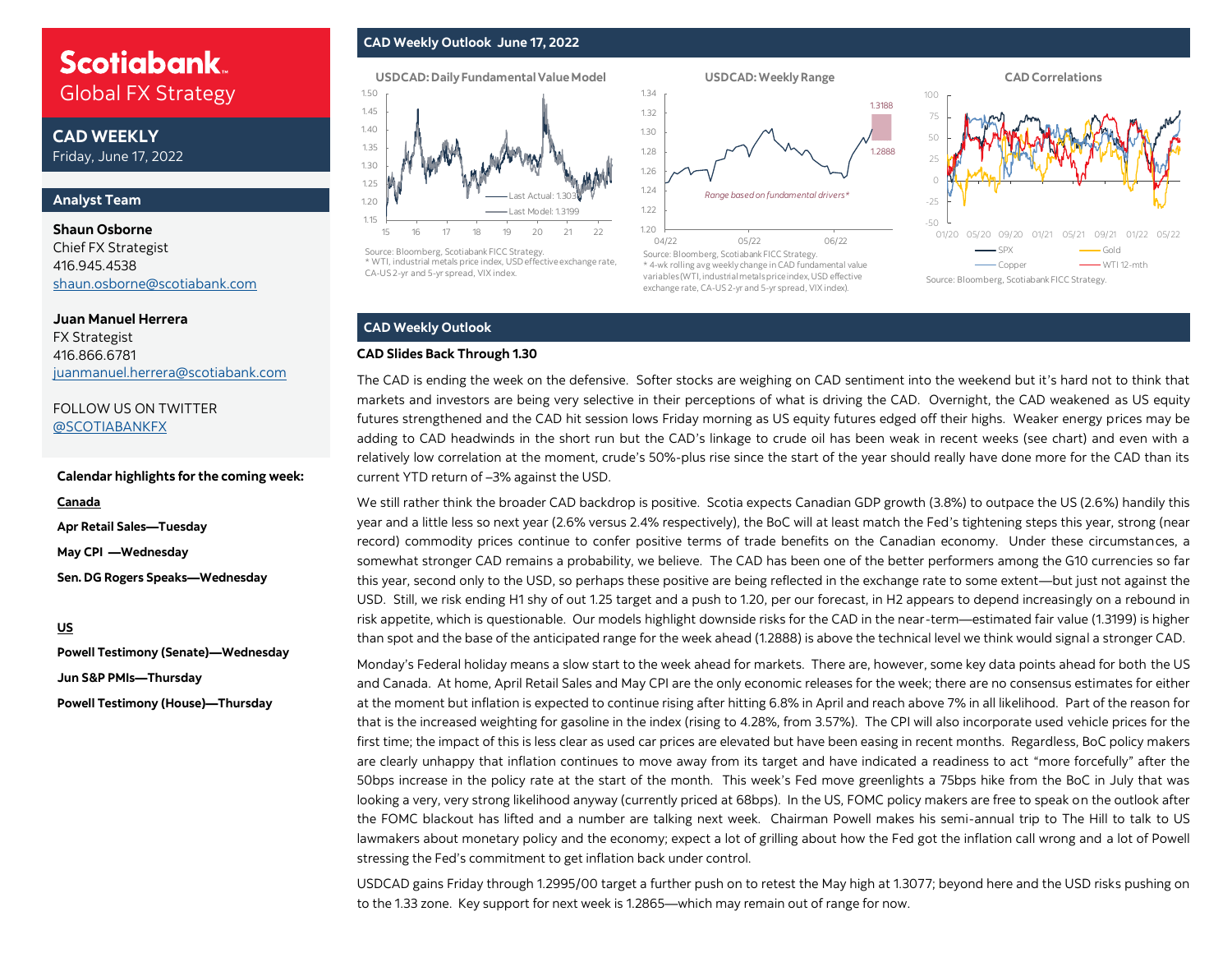## **Scotiabank** Global FX Strategy Global FX Strategy

**CAD WEEKLY** Friday, June 17, 2022

#### **Analyst Team**

### **Shaun Osborne**  Chief FX Strategist 416.945.4538 [shaun.osborne@scotiabank.com](mailto:shaun.osborne@scotiabank.com)

**Juan Manuel Herrera**  FX Strategist 416.866.6781 [juanmanuel.herrera@scotiabank.com](mailto:juanmanuel.herrera@scotiabank.com)

FOLLOW US ON TWITTER [@SCOTIABANKFX](https://twitter.com/Scotiabankfx)

#### **Calendar highlights for the coming week:**

**Canada**

**Apr Retail Sales—Tuesday May CPI —Wednesday Sen. DG Rogers Speaks—Wednesday**

**US**

**Powell Testimony (Senate)—Wednesday Jun S&P PMIs—Thursday Powell Testimony (House)—Thursday** 

#### **CAD Weekly Outlook June 17, 2022**





Source: Bloomberg, Scotiabank FICC Strategy. \* WTI, industrial metals price index, USD effective exchange rate, CA-US 2-yr and 5-yr spread, VIX index.



Source: Bloomberg, Scotiabank FICC Strategy. \* 4-wk rolling avg weekly change in CAD fundamental value variables (WTI, industrial metals price index, USD effective exchange rate, CA-US 2-yr and 5-yr spread, VIX index).



## **CAD Weekly Outlook**

#### **CAD Slides Back Through 1.30**

The CAD is ending the week on the defensive. Softer stocks are weighing on CAD sentiment into the weekend but it's hard not to think that markets and investors are being very selective in their perceptions of what is driving the CAD. Overnight, the CAD weakened as US equity futures strengthened and the CAD hit session lows Friday morning as US equity futures edged off their highs. Weaker energy prices may be adding to CAD headwinds in the short run but the CAD's linkage to crude oil has been weak in recent weeks (see chart) and even with a relatively low correlation at the moment, crude's 50%-plus rise since the start of the year should really have done more for the CAD than its current YTD return of –3% against the USD.

We still rather think the broader CAD backdrop is positive. Scotia expects Canadian GDP growth (3.8%) to outpace the US (2.6%) handily this year and a little less so next year (2.6% versus 2.4% respectively), the BoC will at least match the Fed's tightening steps this year, strong (near record) commodity prices continue to confer positive terms of trade benefits on the Canadian economy. Under these circumstances, a somewhat stronger CAD remains a probability, we believe. The CAD has been one of the better performers among the G10 currencies so far this year, second only to the USD, so perhaps these positive are being reflected in the exchange rate to some extent—but just not against the USD. Still, we risk ending H1 shy of out 1.25 target and a push to 1.20, per our forecast, in H2 appears to depend increasingly on a rebound in risk appetite, which is questionable. Our models highlight downside risks for the CAD in the near-term—estimated fair value (1.3199) is higher than spot and the base of the anticipated range for the week ahead (1.2888) is above the technical level we think would signal a stronger CAD.

Monday's Federal holiday means a slow start to the week ahead for markets. There are, however, some key data points ahead for both the US and Canada. At home, April Retail Sales and May CPI are the only economic releases for the week; there are no consensus estimates for either at the moment but inflation is expected to continue rising after hitting 6.8% in April and reach above 7% in all likelihood. Part of the reason for that is the increased weighting for gasoline in the index (rising to 4.28%, from 3.57%). The CPI will also incorporate used vehicle prices for the first time; the impact of this is less clear as used car prices are elevated but have been easing in recent months. Regardless, BoC policy makers are clearly unhappy that inflation continues to move away from its target and have indicated a readiness to act "more forcefully" after the 50bps increase in the policy rate at the start of the month. This week's Fed move greenlights a 75bps hike from the BoC in July that was looking a very, very strong likelihood anyway (currently priced at 68bps). In the US, FOMC policy makers are free to speak on the outlook after the FOMC blackout has lifted and a number are talking next week. Chairman Powell makes his semi-annual trip to The Hill to talk to US lawmakers about monetary policy and the economy; expect a lot of grilling about how the Fed got the inflation call wrong and a lot of Powell stressing the Fed's commitment to get inflation back under control.

USDCAD gains Friday through 1.2995/00 target a further push on to retest the May high at 1.3077; beyond here and the USD risks pushing on to the 1.33 zone. Key support for next week is 1.2865—which may remain out of range for now.